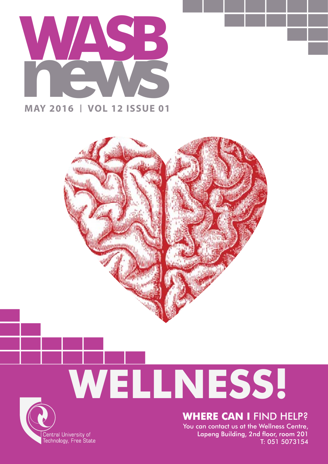

#### **MAY 2016 VOL 12 ISSUE 01**



# **WELLNESS!**



You can contact us at the Wellness Centre, Lapeng Building, 2nd floor, room 201 T: 051 5073154

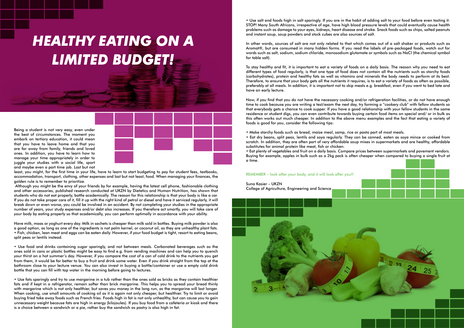Being a student is not very easy, even under the best of circumstances. The moment you embark on tertiary education, it could mean that you have to leave home and that you are far away from family, friends and loved ones. In addition, you have to learn how to manage your time appropriately in order to juggle your studies with a social life, sport and maybe even a part time job. Last but not



least, you might, for the first time in your life, have to learn to start budgeting to pay for student fees, textbooks, accommodation, transport, clothing, other expenses and last but not least, food. When managing your finances, the golden rule is to remember to prioritize.

 Although you might be the envy of your friends by for example, having the latest cell phone, fashionable clothing and other accessories, published research conducted at UKZN by Dietetics and Human Nutrition, has shown that students who do not eat properly, battle academically. The reason for this relationship is that your body is like a car. If you do not take proper care of it, fill it up with the right kind of petrol or diesel and have it serviced regularly, it will break down or even worse, you could be involved in an accident. By not completing your studies in the appropriate number of years, your study expenses and/or debt also increases. If you therefore act smartly, you will take care of your body by eating properly so that academically, you can perform optimally in accordance with your ability.

Have milk, maas or yoghurt every day. Milk in sachets is cheaper than milk sold in bottles. Buying milk powder is also a good option, as long as one of the ingredients is not palm kernel, or coconut oil, as they are unhealthy plant fats. • Fish, chicken, lean meat and eggs can be eaten daily. However, if your food budget is tight, resort to eating beans, split peas or lentils instead.

• Use food and drinks containing sugar sparingly, and not between meals. Carbonated beverages such as the ones sold in cans or plastic bottles might be easy to find e.g. from vending machines and can help you to quench your thirst on a hot summer's day. However, if you compare the cost of a can of cold drink to the nutrients you get from them, it would be far better to buy a fruit and drink some water. Even if you drink straight from the tap at the bathroom close to your lecture venue. You can also invest in buying a bottle/container or use a empty cold drink bottle that you can fill with tap water in the morning before going to lectures.

• Use fats sparingly and try to use margarine in a tub rather than the ones sold as bricks as they contain healthier fats and if kept in a refrigerator, remain softer than brick margarine. This helps you to spread your bread thinly with margarine which is not only healthier, but saves you money in the long run, as the margarine will last longer. When cooking, use small amounts of cooking oil as it is again not only cheaper, but healthier. Try to limit or avoid buying fried take away foods such as French fries. Foods high in fat is not only unhealthy, but can cause you to gain unnecessary weight because fats are high in energy (kilojoules). If you buy food from a cafeteria or kiosk and there is a choice between a sandwich or a pie, rather buy the sandwich as pastry is also high in fat.

• Use salt and foods high in salt sparingly. If you are in the habit of adding salt to your food before even tasting it: STOP! Many South Africans, irrespective of age, have high blood pressure levels that could eventually cause health problems such as damage to your eyes, kidneys, heart disease and stroke. Snack foods such as chips, salted peanuts and instant soup, soup powders and stock cubes are also sources of salt.

In other words, sources of salt are not only related to that which comes out of a salt shaker or products such as Aromat®, but are consumed in many hidden forms. If you read the labels of pre-packaged foods, watch out for words such as salt, sodium, sodium chloride, monosodium glutamate or symbols such as NaCl (the chemical symbol for table salt).

To stay healthy and fit, it is important to eat a variety of foods on a daily basis. The reason why you need to eat different types of food regularly, is that one type of food does not contain all the nutrients such as starchy foods (carbohydrates), protein and healthy fats as well as vitamins and minerals the body needs to perform at its best. Therefore, to ensure that your body gets all the nutrients it requires, is to eat a variety of foods as often as possible, preferably at all meals. In addition, it is important not to skip meals e.g. breakfast, even if you went to bed late and have an early lecture.

Now, if you find that you do not have the necessary cooking and/or refrigeration facilities, or do not have enough time to cook because you are writing a test/exam the next day, try forming a "cookery club" with fellow students so that everybody gets a chance to cook supper. If you have a good relationship with your fellow students in the same residence or student digs, you can even contribute towards buying certain food items on special and/ or in bulk as this often works out much cheaper. In addition to the above menu examples and the fact that eating a variety of foods is good for you, consider the following tips:

• Make starchy foods such as bread, maize meal, samp, rice or pasta part of most meals. • Eat dry beans, split peas, lentils and soya regularly. They can be canned, eaten as soya mince or cooked from scratch. In addition, they are often part of very affordable soup mixes in supermarkets and are healthy, affordable substitutes for animal protein like meat, fish or chicken. • Eat plenty of vegetables and fruit on a daily basis. Compare prices between supermarkets and pavement vendors. Buying for example, apples in bulk such as a 2kg pack is often cheaper when compared to buying a single fruit at a time.

#### REMEMBER – look after your body, and it will look after you!!

# Suna Kasier – UKZN College of Agriculture, Engineering and Science



## *HEALTHY EATING ON A LIMITED BUDGET!*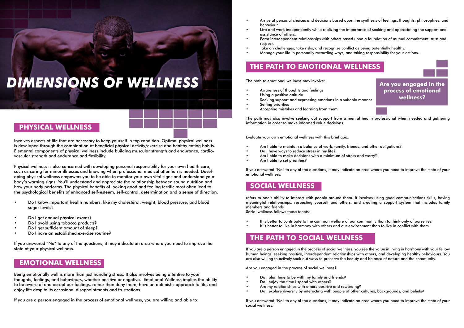Involves aspects of life that are necessary to keep yourself in top condition. Optimal physical wellness is developed through the combination of beneficial physical activity/exercise and healthy eating habits. Elemental components of physical wellness include building muscular strength and endurance, cardiovascular strength and endurance and flexibility.

Physical wellness is also concerned with developing personal responsibility for your own health care, such as caring for minor illnesses and knowing when professional medical attention is needed. Developing physical wellness empowers you to be able to monitor your own vital signs and understand your body's warning signs. You'll understand and appreciate the relationship between sound nutrition and how your body performs. The physical benefits of looking good and feeling terrific most often lead to the psychological benefits of enhanced self-esteem, self-control, determination and a sense of direction.

- Do I know important health numbers, like my cholesterol, weight, blood pressure, and blood sugar levels?
- Do I get annual physical exams?
- Do I avoid using tobacco products?
- Do I get sufficient amount of sleep?
- Do I have an established exercise routine?

If you answered "No" to any of the questions, it may indicate an area where you need to improve the state of your physical wellness.

- Am I able to maintain a balance of work, family, friends, and other obligations?
- Do I have ways to reduce stress in my life?
- Am I able to make decisions with a minimum of stress and worry?
- Am I able to set priorities?

Being emotionally well is more than just handling stress. It also involves being attentive to your thoughts, feelings, and behaviours, whether positive or negative. Emotional Wellness implies the ability to be aware of and accept our feelings, rather than deny them, have an optimistic approach to life, and enjoy life despite its occasional disappointments and frustrations.

If you are a person engaged in the process of emotional wellness, you are willing and able to:

- It is better to contribute to the common welfare of our community than to think only of ourselves.
- It is better to live in harmony with others and our environment than to live in conflict with them.

• Arrive at personal choices and decisions based upon the synthesis of feelings, thoughts, philosophies, and

• Live and work independently while realizing the importance of seeking and appreciating the support and

• Form interdependent relationships with others based upon a foundation of mutual commitment, trust and

- behaviour.
- assistance of others.
- respect.
- Take on challenges, take risks, and recognize conflict as being potentially healthy.
- Manage your life in personally rewarding ways, and taking responsibility for your actions.

The path to emotional wellness may involve:

- Awareness of thoughts and feelings
- Using a positive attitude
- Seeking support and expressing emotions in a suitable manner
- Setting priorities
- Accepting mistakes and learning from them

The path may also involve seeking out support from a mental health professional when needed and gathering information in order to make informed value decisions.

Evaluate your own emotional wellness with this brief quiz.

If you answered "No" to any of the questions, it may indicate an area where you need to improve the state of your emotional wellness.

refers to one's ability to interact with people around them. It involves using good communications skills, having meaningful relationships, respecting yourself and others, and creating a support system that includes family members and friends.

Social wellness follows these tenets:

If you are a person engaged in the process of social wellness, you see the value in living in harmony with your fellow human beings, seeking positive, interdependent relationships with others, and developing healthy behaviours. You are also willing to actively seek out ways to preserve the beauty and balance of nature and the community.

Are you engaged in the process of social wellness?

- Do I plan time to be with my family and friends?
- Do I enjoy the time I spend with others?
- Are my relationships with others positive and rewarding?
- Do I explore diversity by interacting with people of other cultures, backgrounds, and beliefs?

If you answered "No" to any of the questions, it may indicate an area where you need to improve the state of your social wellness.

#### **PHYSICAL WELLNESS**

#### **SOCIAL WELLNESS**

#### **THE PATH TO SOCIAL WELLNESS**

#### **EMOTIONAL WELLNESS**

#### **THE PATH TO EMOTIONAL WELLNESS**



### *DIMENSIONS OF WELLNESS*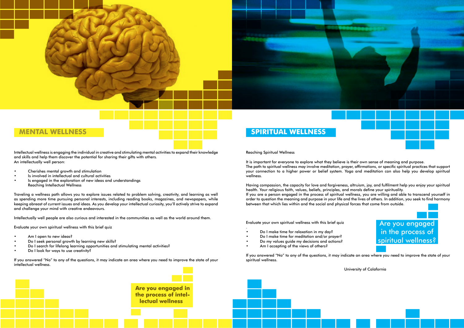

Intellectual wellness is engaging the individual in creative and stimulating mental activities to expand their knowledge and skills and help them discover the potential for sharing their gifts with others. An intellectually well person:

- Cherishes mental growth and stimulation
- Is involved in intellectual and cultural activities
- Is engaged in the exploration of new ideas and understandings Reaching Intellectual Wellness

- Am I open to new ideas?
- Do I seek personal growth by learning new skills?
- Do I search for lifelong learning opportunities and stimulating mental activities?
- Do I look for ways to use creativity?

Traveling a wellness path allows you to explore issues related to problem solving, creativity, and learning as well as spending more time pursuing personal interests, including reading books, magazines, and newspapers, while keeping abreast of current issues and ideas. As you develop your intellectual curiosity, you'll actively strive to expand and challenge your mind with creative endeavours.

Intellectually well people are also curious and interested in the communities as well as the world around them.

Evaluate your own spiritual wellness with this brief quiz

- Do I make time for relaxation in my day?
- Do I make time for meditation and/or prayer?
- Do my values guide my decisions and actions?
- Am I accepting of the views of others?

If you answered "No" to any of the questions, it may indicate an area where you need to improve the state of your intellectual wellness.

Reaching Spiritual Wellness

It is important for everyone to explore what they believe is their own sense of meaning and purpose. The path to spiritual wellness may involve meditation, prayer, affirmations, or specific spiritual practices that support your connection to a higher power or belief system. Yoga and meditation can also help you develop spiritual wellness.

Having compassion, the capacity for love and forgiveness, altruism, joy, and fulfilment help you enjoy your spiritual health. Your religious faith, values, beliefs, principles, and morals define your spirituality. If you are a person engaged in the process of spiritual wellness, you are willing and able to transcend yourself in order to question the meaning and purpose in your life and the lives of others. In addition, you seek to find harmony between that which lies within and the social and physical forces that come from outside.

Evaluate your own spiritual wellness with this brief quiz

.

If you answered "No" to any of the questions, it may indicate an area where you need to improve the state of your spiritual wellness.



University of Calafornia

#### **MENTAL WELLNESS SPIRITUAL WELLNESS**